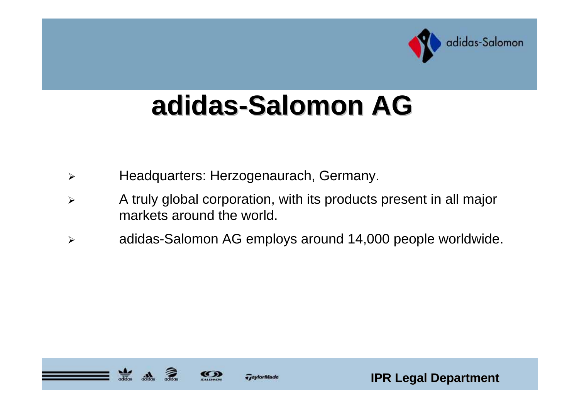

# **adidas-Salomon AG Salomon AG**

- $\blacktriangleright$ Headquarters: Herzogenaurach, Germany.
- $\blacktriangleright$  A truly global corporation, with its products present in all major markets around the world.
- $\blacktriangleright$ adidas-Salomon AG employs around 14,000 people worldwide.





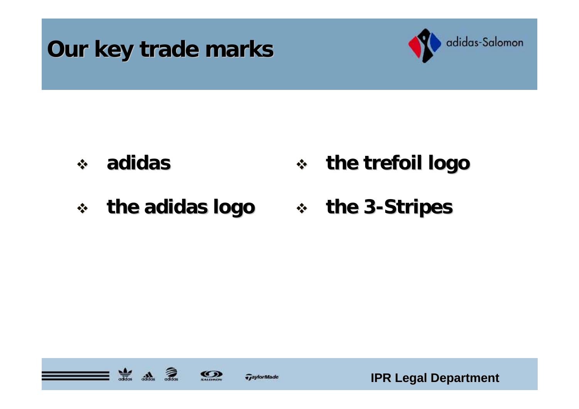



#### $\mathbf{e}^{\mathbf{e}}_{\mathbf{e}}$  **adidas the trefoil logo the trefoil logo**

#### $\frac{1}{2}$  **the adidas logo the adidas logo the 3 -Stripes Stripes**





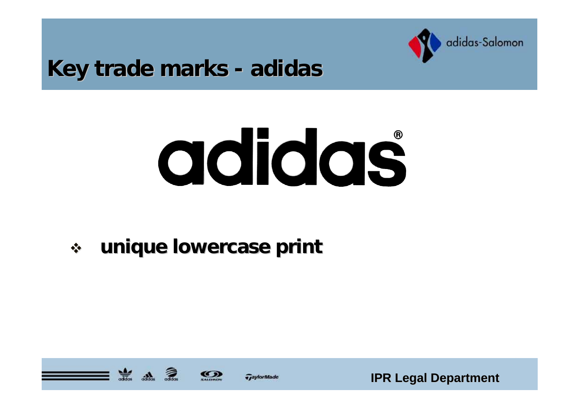

#### **Key trade marks - adidas**

# adidas

 $\frac{1}{2}$ **unique lowercase print unique lowercase print**





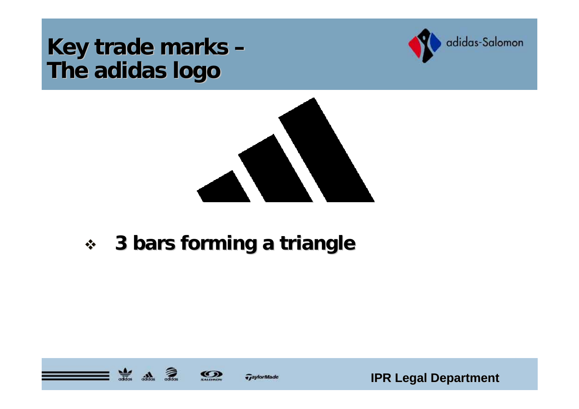#### **Key trade marks – The adidas logo The adidas logo**





#### $\frac{1}{2}$ **3 bars forming a triangle bars forming a triangle**





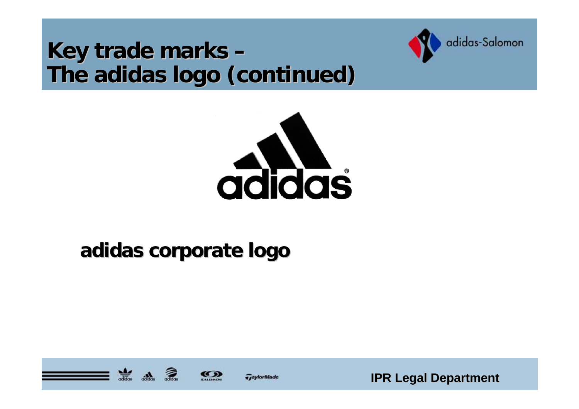### **Key trade marks – The adidas logo (continued) The adidas logo (continued)**





## **adidas corporate logo adidas corporate logo**





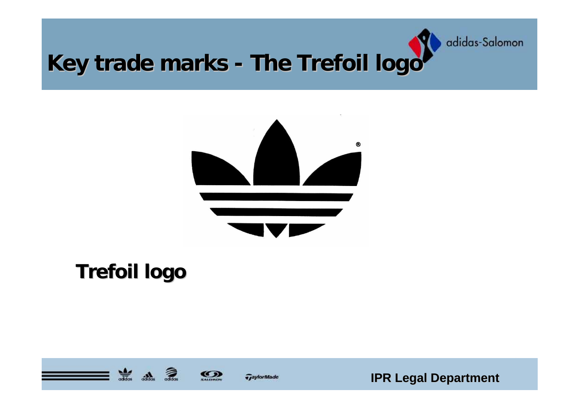

#### **Key trade marks -The Trefoil logo The Trefoil logo**



## **Trefoil logo Trefoil logo**





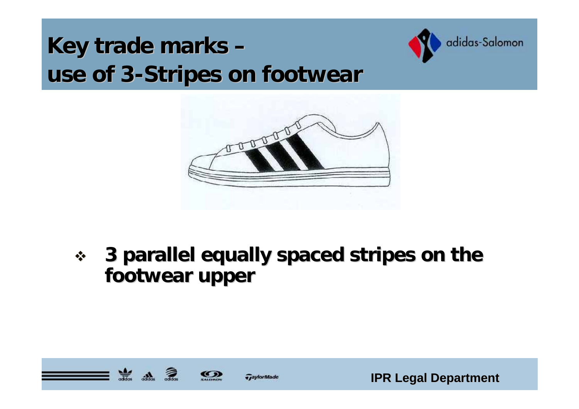## **Key trade marks – use of 3 use of 3 -Stripes on footwear Stripes on footwear**





 $\frac{1}{2}$  **3 parallel equally spaced stripes on the parallel equally spaced stripes on the footwear upper footwear upper**





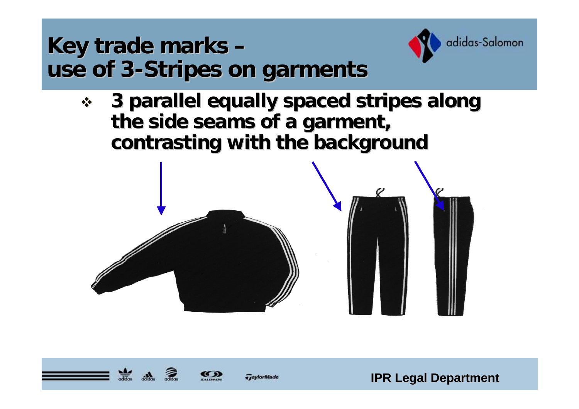



 $\frac{1}{2}$  **3 parallel equally spaced stripes along parallel equally spaced stripes along**  the side seams of a garment, **contrasting with the background** 







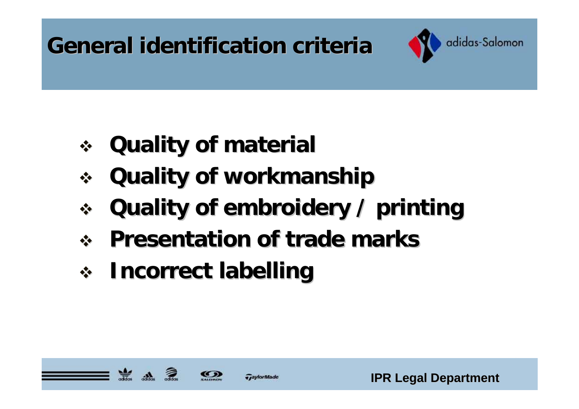# **General identification criteria General identification criteria**



- **Quality of material Quality of material**
- **Quality of workmanship Quality of workmanship**
- $\frac{1}{2}$ **Quality of embroidery / printing Quality of embroidery / printing**
- $\frac{1}{2}$ **Presentation of trade marks Presentation of trade marks**
- **Incorrect labelling Incorrect labelling**



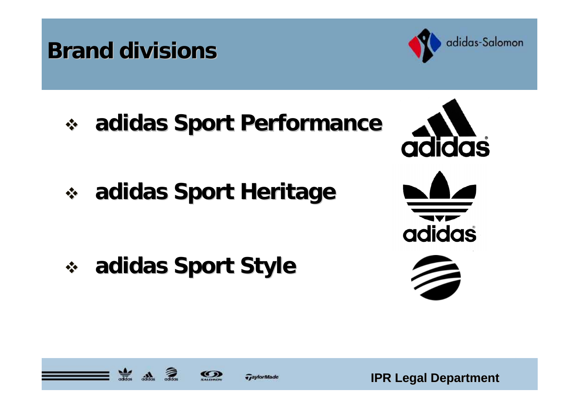## **Brand divisions Brand divisions**



**adidas Sport Performance adidas Sport Performance**

**adidas Sport Heritage adidas Sport Heritage**

**adidas Sport Style adidas Sport Style**